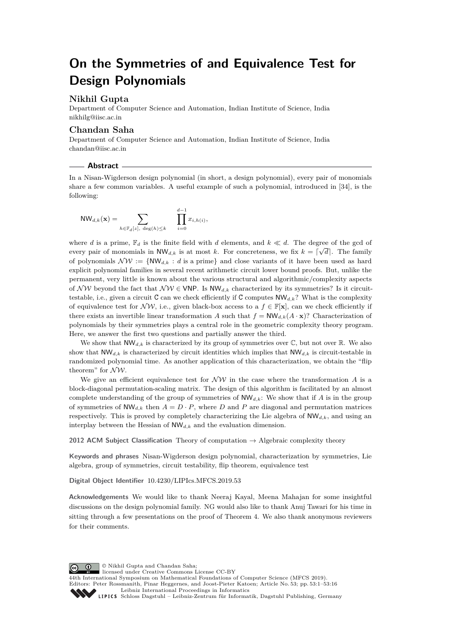# **On the Symmetries of and Equivalence Test for Design Polynomials**

# **Nikhil Gupta**

Department of Computer Science and Automation, Indian Institute of Science, India [nikhilg@iisc.ac.in](mailto:nikhilg@iisc.ac.in)

### **Chandan Saha**

Department of Computer Science and Automation, Indian Institute of Science, India [chandan@iisc.ac.in](mailto:chandan@iisc.ac.in)

#### **Abstract**

In a Nisan-Wigderson design polynomial (in short, a design polynomial), every pair of monomials share a few common variables. A useful example of such a polynomial, introduced in [\[34\]](#page-13-0), is the following:

$$
\text{NW}_{d,k}(\mathbf{x}) = \sum_{h \in \mathbb{F}_d[z], \deg(h) \leq k} \prod_{i=0}^{d-1} x_{i,h(i)},
$$

where *d* is a prime,  $\mathbb{F}_d$  is the finite field with *d* elements, and  $k \ll d$ . The degree of the gcd of every pair of monomials in  $\mathsf{NW}_{d,k}$  is at most k. For concreteness, we fix  $k = \lceil \sqrt{d} \rceil$ . The family of polynomials  $\mathcal{NW} := \{NW_{d,k} : d \text{ is a prime}\}\$  and close variants of it have been used as hard explicit polynomial families in several recent arithmetic circuit lower bound proofs. But, unlike the permanent, very little is known about the various structural and algorithmic/complexity aspects of  $\mathcal{NW}$  beyond the fact that  $\mathcal{NW} \in \text{VNP}$ . Is  $\text{NW}_{d,k}$  characterized by its symmetries? Is it circuittestable, i.e., given a circuit C can we check efficiently if C computes  $\mathsf{NW}_{d,k}$ ? What is the complexity of equivalence test for  $\mathcal{NW}$ , i.e., given black-box access to a  $f \in \mathbb{F}[\mathbf{x}]$ , can we check efficiently if there exists an invertible linear transformation *A* such that  $f = NW_{d,k}(A \cdot \mathbf{x})$ ? Characterization of polynomials by their symmetries plays a central role in the geometric complexity theory program. Here, we answer the first two questions and partially answer the third.

We show that  $\mathsf{NW}_{d,k}$  is characterized by its group of symmetries over  $\mathbb{C}$ , but not over  $\mathbb{R}$ . We also show that  $NW_{d,k}$  is characterized by circuit identities which implies that  $NW_{d,k}$  is circuit-testable in randomized polynomial time. As another application of this characterization, we obtain the "flip theorem" for NW.

We give an efficient equivalence test for  $\mathcal{NW}$  in the case where the transformation  $A$  is a block-diagonal permutation-scaling matrix. The design of this algorithm is facilitated by an almost complete understanding of the group of symmetries of  $\mathsf{NW}_{d,k}$ : We show that if *A* is in the group of symmetries of  $NW_{d,k}$  then  $A = D \cdot P$ , where *D* and *P* are diagonal and permutation matrices respectively. This is proved by completely characterizing the Lie algebra of NW*d,k*, and using an interplay between the Hessian of  $\mathsf{NW}_{d,k}$  and the evaluation dimension.

**2012 ACM Subject Classification** Theory of computation → Algebraic complexity theory

**Keywords and phrases** Nisan-Wigderson design polynomial, characterization by symmetries, Lie algebra, group of symmetries, circuit testability, flip theorem, equivalence test

#### **Digital Object Identifier** [10.4230/LIPIcs.MFCS.2019.53](https://doi.org/10.4230/LIPIcs.MFCS.2019.53)

**Acknowledgements** We would like to thank Neeraj Kayal, Meena Mahajan for some insightful discussions on the design polynomial family. NG would also like to thank Anuj Tawari for his time in sitting through a few presentations on the proof of Theorem [4.](#page-3-0) We also thank anonymous reviewers for their comments.

© Nikhil Gupta and Chandan Saha; licensed under Creative Commons License CC-BY 44th International Symposium on Mathematical Foundations of Computer Science (MFCS 2019). Editors: Peter Rossmanith, Pinar Heggernes, and Joost-Pieter Katoen; Article No. 53; pp. 53:1–53[:16](#page-15-0) [Leibniz International Proceedings in Informatics](https://www.dagstuhl.de/lipics/) [Schloss Dagstuhl – Leibniz-Zentrum für Informatik, Dagstuhl Publishing, Germany](https://www.dagstuhl.de)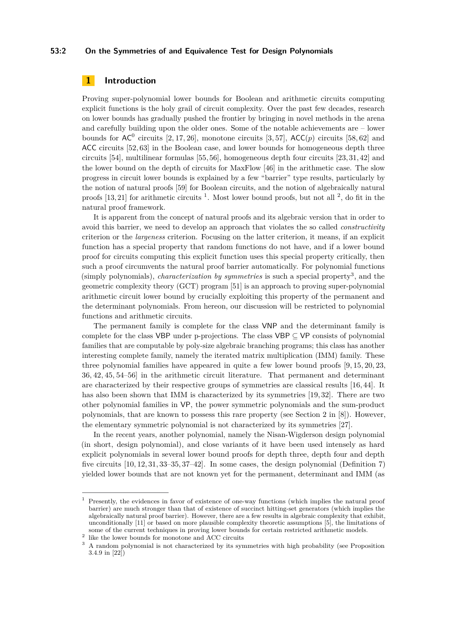### **53:2 On the Symmetries of and Equivalence Test for Design Polynomials**

# **1 Introduction**

Proving super-polynomial lower bounds for Boolean and arithmetic circuits computing explicit functions is the holy grail of circuit complexity. Over the past few decades, research on lower bounds has gradually pushed the frontier by bringing in novel methods in the arena and carefully building upon the older ones. Some of the notable achievements are – lower bounds for  $AC^0$  circuits [\[2,](#page-11-0) [17,](#page-12-0) [26\]](#page-13-1), monotone circuits [\[3,](#page-11-1) [57\]](#page-14-0),  $ACC(p)$  circuits [\[58,](#page-14-1) [62\]](#page-15-1) and ACC circuits [\[52,](#page-14-2) [63\]](#page-15-2) in the Boolean case, and lower bounds for homogeneous depth three circuits [\[54\]](#page-14-3), multilinear formulas [\[55,](#page-14-4) [56\]](#page-14-5), homogeneous depth four circuits [\[23,](#page-13-2) [31,](#page-13-3) [42\]](#page-14-6) and the lower bound on the depth of circuits for MaxFlow [\[46\]](#page-14-7) in the arithmetic case. The slow progress in circuit lower bounds is explained by a few "barrier" type results, particularly by the notion of natural proofs [\[59\]](#page-14-8) for Boolean circuits, and the notion of algebraically natural proofs [\[13,](#page-12-1)2[1](#page-1-0)] for arithmetic circuits  $^1$ . Most lower bound proofs, but not all  $^2$  $^2$ , do fit in the natural proof framework.

It is apparent from the concept of natural proofs and its algebraic version that in order to avoid this barrier, we need to develop an approach that violates the so called *constructivity* criterion or the *largeness* criterion. Focusing on the latter criterion, it means, if an explicit function has a special property that random functions do not have, and if a lower bound proof for circuits computing this explicit function uses this special property critically, then such a proof circumvents the natural proof barrier automatically. For polynomial functions (simply polynomials), *characterization by symmetries* is such a special property[3](#page-1-2) , and the geometric complexity theory (GCT) program [\[51\]](#page-14-9) is an approach to proving super-polynomial arithmetic circuit lower bound by crucially exploiting this property of the permanent and the determinant polynomials. From hereon, our discussion will be restricted to polynomial functions and arithmetic circuits.

The permanent family is complete for the class VNP and the determinant family is complete for the class VBP under p-projections. The class VBP  $\subseteq$  VP consists of polynomial families that are computable by poly-size algebraic branching programs; this class has another interesting complete family, namely the iterated matrix multiplication (IMM) family. These three polynomial families have appeared in quite a few lower bound proofs [\[9,](#page-12-3) [15,](#page-12-4) [20,](#page-12-5) [23,](#page-13-2) [36,](#page-13-4) [42,](#page-14-6) [45,](#page-14-10) [54–](#page-14-3)[56\]](#page-14-5) in the arithmetic circuit literature. That permanent and determinant are characterized by their respective groups of symmetries are classical results [\[16,](#page-12-6) [44\]](#page-14-11). It has also been shown that IMM is characterized by its symmetries [\[19,](#page-12-7)32]. There are two other polynomial families in VP, the power symmetric polynomials and the sum-product polynomials, that are known to possess this rare property (see Section 2 in [\[8\]](#page-12-8)). However, the elementary symmetric polynomial is not characterized by its symmetries [\[27\]](#page-13-6).

In the recent years, another polynomial, namely the Nisan-Wigderson design polynomial (in short, design polynomial), and close variants of it have been used intensely as hard explicit polynomials in several lower bound proofs for depth three, depth four and depth five circuits [\[10,](#page-12-9) [12,](#page-12-10) [31,](#page-13-3) [33](#page-13-7)[–35,](#page-13-8) [37–](#page-13-9)[42\]](#page-14-6). In some cases, the design polynomial (Definition [7\)](#page-4-0) yielded lower bounds that are not known yet for the permanent, determinant and IMM (as

<span id="page-1-0"></span><sup>1</sup> Presently, the evidences in favor of existence of one-way functions (which implies the natural proof barrier) are much stronger than that of existence of succinct hitting-set generators (which implies the algebraically natural proof barrier). However, there are a few results in algebraic complexity that exhibit, unconditionally [\[11\]](#page-12-11) or based on more plausible complexity theoretic assumptions [\[5\]](#page-12-12), the limitations of some of the current techniques in proving lower bounds for certain restricted arithmetic models.

<span id="page-1-1"></span> $^2\,$  like the lower bounds for monotone and ACC circuits

<span id="page-1-2"></span><sup>&</sup>lt;sup>3</sup> A random polynomial is not characterized by its symmetries with high probability (see Proposition 3.4.9 in [\[22\]](#page-13-10))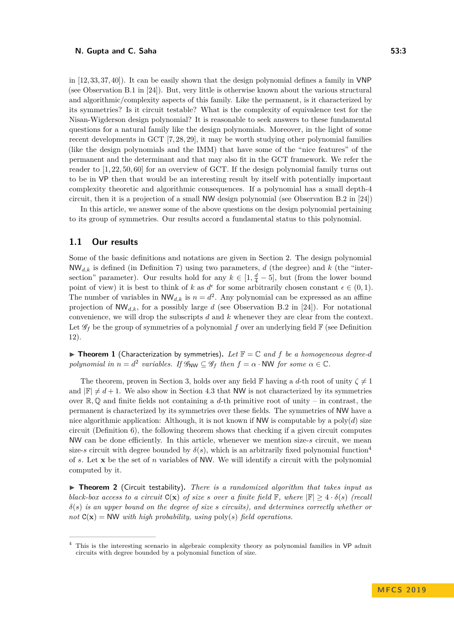in [\[12,](#page-12-10) [33,](#page-13-7) [37,](#page-13-9) [40\]](#page-14-12)). It can be easily shown that the design polynomial defines a family in VNP (see Observation B.1 in [\[24\]](#page-13-11)). But, very little is otherwise known about the various structural and algorithmic/complexity aspects of this family. Like the permanent, is it characterized by its symmetries? Is it circuit testable? What is the complexity of equivalence test for the Nisan-Wigderson design polynomial? It is reasonable to seek answers to these fundamental questions for a natural family like the design polynomials. Moreover, in the light of some recent developments in GCT [\[7,](#page-12-13) [28,](#page-13-12) [29\]](#page-13-13), it may be worth studying other polynomial families (like the design polynomials and the IMM) that have some of the "nice features" of the permanent and the determinant and that may also fit in the GCT framework. We refer the reader to [\[1,](#page-11-2) [22,](#page-13-10) [50,](#page-14-13) [60\]](#page-14-14) for an overview of GCT. If the design polynomial family turns out to be in VP then that would be an interesting result by itself with potentially important complexity theoretic and algorithmic consequences. If a polynomial has a small depth-4 circuit, then it is a projection of a small NW design polynomial (see Observation B.2 in [\[24\]](#page-13-11))

In this article, we answer some of the above questions on the design polynomial pertaining to its group of symmetries. Our results accord a fundamental status to this polynomial.

### **1.1 Our results**

Some of the basic definitions and notations are given in Section [2.](#page-4-1) The design polynomial  $NW_{d,k}$  is defined (in Definition [7\)](#page-4-0) using two parameters, *d* (the degree) and *k* (the "intersection" parameter). Our results hold for any  $k \in [1, \frac{d}{4} - 5]$ , but (from the lower bound point of view) it is best to think of *k* as  $d^{\epsilon}$  for some arbitrarily chosen constant  $\epsilon \in (0,1)$ . The number of variables in  $\mathsf{NW}_{d,k}$  is  $n = d^2$ . Any polynomial can be expressed as an affine projection of  $\mathsf{NW}_{d,k}$ , for a possibly large *d* (see Observation B.2 in [\[24\]](#page-13-11)). For notational convenience, we will drop the subscripts *d* and *k* whenever they are clear from the context. Let  $\mathscr{G}_f$  be the group of symmetries of a polynomial f over an underlying field  $\mathbb F$  (see Definition [12\)](#page-5-0).

<span id="page-2-1"></span> $\blacktriangleright$  **Theorem 1** (Characterization by symmetries). Let  $\mathbb{F} = \mathbb{C}$  and f be a homogeneous degree-d *polynomial in*  $n = d^2$  *variables. If*  $\mathscr{G}_{\text{NW}} \subseteq \mathscr{G}_f$  *then*  $f = \alpha \cdot \text{NW}$  *for some*  $\alpha \in \mathbb{C}$ *.* 

The theorem, proven in Section [3,](#page-6-0) holds over any field F having a d-th root of unity  $\zeta \neq 1$ and  $|\mathbb{F}| \neq d+1$ . We also show in Section [4.3](#page-7-0) that NW is not characterized by its symmetries over  $\mathbb{R}, \mathbb{Q}$  and finite fields not containing a *d*-th primitive root of unity – in contrast, the permanent is characterized by its symmetries over these fields. The symmetries of NW have a nice algorithmic application: Although, it is not known if NW is computable by a  $poly(d)$  size circuit (Definition [6\)](#page-4-2), the following theorem shows that checking if a given circuit computes NW can be done efficiently. In this article, whenever we mention size-*s* circuit, we mean size-*s* circuit with degree bounded by  $\delta(s)$ , which is an arbitrarily fixed polynomial function<sup>[4](#page-2-0)</sup> of *s*. Let **x** be the set of *n* variables of NW. We will identify a circuit with the polynomial computed by it.

<span id="page-2-2"></span>▶ **Theorem 2** (Circuit testability). *There is a randomized algorithm that takes input as black-box access to a circuit*  $C(x)$  *of size s over a finite field*  $\mathbb{F}$ *, where*  $|\mathbb{F}| \geq 4 \cdot \delta(s)$  *(recall*) *δ*(*s*) *is an upper bound on the degree of size s circuits), and determines correctly whether or*  $not C(\mathbf{x}) = \text{NW}$  *with high probability, using* poly(*s*) *field operations.* 

<span id="page-2-0"></span><sup>4</sup> This is the interesting scenario in algebraic complexity theory as polynomial families in VP admit circuits with degree bounded by a polynomial function of size.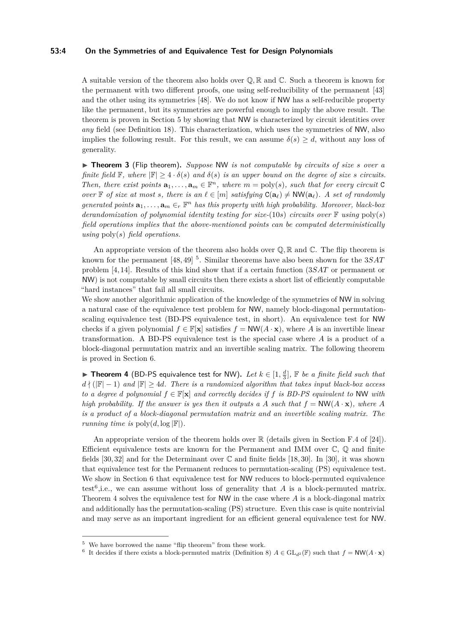### **53:4 On the Symmetries of and Equivalence Test for Design Polynomials**

A suitable version of the theorem also holds over Q*,* R and C. Such a theorem is known for the permanent with two different proofs, one using self-reducibility of the permanent [\[43\]](#page-14-15) and the other using its symmetries [\[48\]](#page-14-16). We do not know if NW has a self-reducible property like the permanent, but its symmetries are powerful enough to imply the above result. The theorem is proven in Section [5](#page-7-1) by showing that NW is characterized by circuit identities over *any* field (see Definition [18\)](#page-6-1). This characterization, which uses the symmetries of NW, also implies the following result. For this result, we can assume  $\delta(s) \geq d$ , without any loss of generality.

<span id="page-3-3"></span>▶ **Theorem 3** (Flip theorem). *Suppose* NW *is not computable by circuits of size s over a finite field*  $\mathbb{F}$ *, where*  $|\mathbb{F}| \geq 4 \cdot \delta(s)$  *and*  $\delta(s)$  *is an upper bound on the degree of size s circuits. Then, there exist points*  $\mathbf{a}_1, \ldots, \mathbf{a}_m \in \mathbb{F}^n$ *, where*  $m = \text{poly}(s)$ *, such that for every circuit* C *over*  $\mathbb{F}$  *of size at most s, there is an*  $\ell \in [m]$  *satisfying*  $C(\mathbf{a}_{\ell}) \neq NW(\mathbf{a}_{\ell})$ *. A set of randomly generated points*  $\mathbf{a}_1, \ldots, \mathbf{a}_m \in_r \mathbb{F}^n$  *has this property with high probability. Moreover, black-box derandomization of polynomial identity testing for size-*(10*s*) *circuits over* F *using* poly(*s*) *field operations implies that the above-mentioned points can be computed deterministically using* poly(*s*) *field operations.*

An appropriate version of the theorem also holds over  $\mathbb{Q}, \mathbb{R}$  and  $\mathbb{C}$ . The flip theorem is known for the permanent [\[48,](#page-14-16)49]<sup>[5](#page-3-1)</sup>. Similar theorems have also been shown for the 3SAT problem [\[4,](#page-11-3) [14\]](#page-12-14). Results of this kind show that if a certain function (3*SAT* or permanent or NW) is not computable by small circuits then there exists a short list of efficiently computable "hard instances" that fail all small circuits.

We show another algorithmic application of the knowledge of the symmetries of NW in solving a natural case of the equivalence test problem for NW, namely block-diagonal permutationscaling equivalence test (BD-PS equivalence test, in short). An equivalence test for NW checks if a given polynomial  $f \in \mathbb{F}[\mathbf{x}]$  satisfies  $f = \text{NW}(A \cdot \mathbf{x})$ , where A is an invertible linear transformation. A BD-PS equivalence test is the special case where *A* is a product of a block-diagonal permutation matrix and an invertible scaling matrix. The following theorem is proved in Section [6.](#page-8-0)

<span id="page-3-0"></span>▶ **Theorem 4** (BD-PS equivalence test for NW). Let  $k \in [1, \frac{d}{3}]$ , **F** be a finite field such that  $d \nmid (|\mathbb{F}|-1)$  *and*  $|\mathbb{F}| > 4d$ *. There is a randomized algorithm that takes input black-box access to a degree d polynomial*  $f \in \mathbb{F}[\mathbf{x}]$  *and correctly decides if*  $f$  *is BD-PS equivalent to* NW *with high probability.* If the answer is yes then it outputs a A such that  $f = NW(A \cdot x)$ *, where* A *is a product of a block-diagonal permutation matrix and an invertible scaling matrix. The running time is*  $\text{poly}(d, \log |\mathbb{F}|)$ *.* 

An appropriate version of the theorem holds over  $\mathbb R$  (details given in Section F.4 of [\[24\]](#page-13-11)). Efficient equivalence tests are known for the Permanent and IMM over C, Q and finite fields [\[30,](#page-13-14) [32\]](#page-13-5) and for the Determinant over  $\mathbb C$  and finite fields [\[18,](#page-12-15) [30\]](#page-13-14). In [\[30\]](#page-13-14), it was shown that equivalence test for the Permanent reduces to permutation-scaling (PS) equivalence test. We show in Section [6](#page-8-0) that equivalence test for NW reduces to block-permuted equivalence test<sup>[6](#page-3-2)</sup>, i.e., we can assume without loss of generality that  $A$  is a block-permuted matrix. Theorem [4](#page-3-0) solves the equivalence test for NW in the case where *A* is a block-diagonal matrix and additionally has the permutation-scaling (PS) structure. Even this case is quite nontrivial and may serve as an important ingredient for an efficient general equivalence test for NW.

<span id="page-3-1"></span> $^5\,$  We have borrowed the name "flip theorem" from these work.

<span id="page-3-2"></span><sup>&</sup>lt;sup>6</sup> It decides if there exists a block-permuted matrix (Definition [8\)](#page-5-1)  $A \in GL_{d^2}(\mathbb{F})$  such that  $f = NW(A \cdot x)$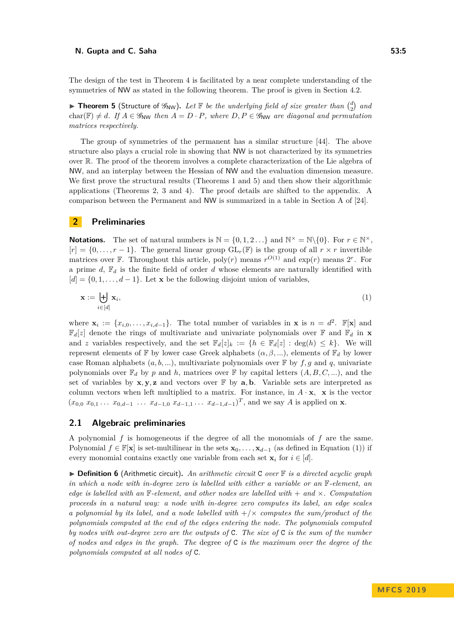The design of the test in Theorem [4](#page-3-0) is facilitated by a near complete understanding of the symmetries of NW as stated in the following theorem. The proof is given in Section [4.2.](#page-7-2)

<span id="page-4-3"></span>**Finds Theorem 5** (Structure of  $\mathscr{G}_{NW}$ ). Let  $\mathbb{F}$  be the underlying field of size greater than  $\begin{pmatrix} d \\ 2 \end{pmatrix}$  and  $char(\mathbb{F}) \neq d$ . If  $A \in \mathscr{G}_{\text{NW}}$  then  $A = D \cdot P$ , where  $D, P \in \mathscr{G}_{\text{NW}}$  are diagonal and permutation *matrices respectively.*

The group of symmetries of the permanent has a similar structure [\[44\]](#page-14-11). The above structure also plays a crucial role in showing that NW is not characterized by its symmetries over R. The proof of the theorem involves a complete characterization of the Lie algebra of NW, and an interplay between the Hessian of NW and the evaluation dimension measure. We first prove the structural results (Theorems [1](#page-2-1) and [5\)](#page-4-3) and then show their algorithmic applications (Theorems [2,](#page-2-2) [3](#page-3-3) and [4\)](#page-3-0). The proof details are shifted to the appendix. A comparison between the Permanent and NW is summarized in a table in Section A of [\[24\]](#page-13-11).

### <span id="page-4-1"></span>**2 Preliminaries**

**Notations.** The set of natural numbers is  $\mathbb{N} = \{0, 1, 2 \ldots\}$  and  $\mathbb{N}^{\times} = \mathbb{N} \setminus \{0\}$ . For  $r \in \mathbb{N}^{\times}$ ,  $[r] = \{0, \ldots, r-1\}$ . The general linear group  $GL_r(\mathbb{F})$  is the group of all  $r \times r$  invertible matrices over  $\mathbb{F}$ . Throughout this article, poly(*r*) means  $r^{O(1)}$  and  $\exp(r)$  means  $2^r$ . For a prime  $d$ ,  $\mathbb{F}_d$  is the finite field of order  $d$  whose elements are naturally identified with  $[d] = \{0, 1, \ldots, d-1\}$ . Let **x** be the following disjoint union of variables,

<span id="page-4-4"></span>
$$
\mathbf{x} := \biguplus_{i \in [d]} \mathbf{x}_i,\tag{1}
$$

where  $\mathbf{x}_i := \{x_{i,0}, \ldots, x_{i,d-1}\}.$  The total number of variables in **x** is  $n = d^2$ .  $\mathbb{F}[\mathbf{x}]$  and  $\mathbb{F}_d[z]$  denote the rings of multivariate and univariate polynomials over  $\mathbb{F}$  and  $\mathbb{F}_d$  in **x** and *z* variables respectively, and the set  $\mathbb{F}_d[z]_k := \{h \in \mathbb{F}_d[z] : \deg(h) \leq k\}$ . We will represent elements of F by lower case Greek alphabets  $(\alpha, \beta, ...)$ , elements of  $\mathbb{F}_d$  by lower case Roman alphabets  $(a, b, ...)$ , multivariate polynomials over  $\mathbb{F}$  by  $f, g$  and  $q$ , univariate polynomials over  $\mathbb{F}_d$  by *p* and *h*, matrices over  $\mathbb{F}$  by capital letters  $(A, B, C, \ldots)$ , and the set of variables by  $\mathbf{x}, \mathbf{y}, \mathbf{z}$  and vectors over  $\mathbb{F}$  by  $\mathbf{a}, \mathbf{b}$ . Variable sets are interpreted as column vectors when left multiplied to a matrix. For instance, in  $A \cdot x$ , x is the vector  $(x_{0,0} x_{0,1} \ldots x_{0,d-1} \ldots x_{d-1,0} x_{d-1,1} \ldots x_{d-1,d-1})^T$ , and we say *A* is applied on **x**.

### **2.1 Algebraic preliminaries**

A polynomial *f* is homogeneous if the degree of all the monomials of *f* are the same. Polynomial  $f \in \mathbb{F}[\mathbf{x}]$  is set-multilinear in the sets  $\mathbf{x}_0, \ldots, \mathbf{x}_{d-1}$  (as defined in Equation [\(1\)](#page-4-4)) if every monomial contains exactly one variable from each set  $\mathbf{x}_i$  for  $i \in [d]$ .

<span id="page-4-2"></span><span id="page-4-0"></span>I **Definition 6** (Arithmetic circuit)**.** *An arithmetic circuit* C *over* F *is a directed acyclic graph in which a node with in-degree zero is labelled with either a variable or an* F*-element, an edge is labelled with an* F*-element, and other nodes are labelled with* + *and* ×*. Computation proceeds in a natural way: a node with in-degree zero computes its label, an edge scales a polynomial by its label, and a node labelled with* +*/*× *computes the sum/product of the polynomials computed at the end of the edges entering the node. The polynomials computed by nodes with out-degree zero are the outputs of* C*. The size of* C *is the sum of the number of nodes and edges in the graph. The* degree *of* C *is the maximum over the degree of the polynomials computed at all nodes of* C*.*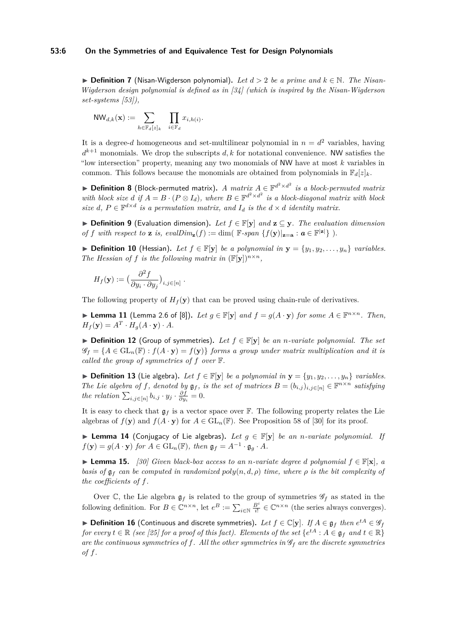#### **53:6 On the Symmetries of and Equivalence Test for Design Polynomials**

**► Definition 7** (Nisan-Wigderson polynomial). Let  $d > 2$  be a prime and  $k \in \mathbb{N}$ . The Nisan-*Wigderson design polynomial is defined as in [\[34\]](#page-13-0) (which is inspired by the Nisan-Wigderson set-systems [\[53\]](#page-14-18)),*

$$
\text{NW}_{d,k}(\mathbf{x}) := \sum_{h \in \mathbb{F}_d[z]_k} \prod_{i \in \mathbb{F}_d} x_{i,h(i)}.
$$

It is a degree-*d* homogeneous and set-multilinear polynomial in  $n = d^2$  variables, having  $d^{k+1}$  monomials. We drop the subscripts  $d, k$  for notational convenience. NW satisfies the "low intersection" property, meaning any two monomials of NW have at most *k* variables in common. This follows because the monomials are obtained from polynomials in  $\mathbb{F}_d[z]_k$ .

<span id="page-5-1"></span>▶ **Definition 8** (Block-permuted matrix). *A matrix*  $A \in \mathbb{F}^{d^2 \times d^2}$  *is a block-permuted matrix with block size d if*  $A = B \cdot (P \otimes I_d)$ *, where*  $B \in \mathbb{F}^{d^2 \times d^2}$  *is a block-diagonal matrix with block size d*,  $P \in \mathbb{F}^{d \times d}$  *is a permutation matrix, and*  $I_d$  *is the*  $d \times d$  *identity matrix.* 

**▶ Definition 9** (Evaluation dimension). Let  $f \in \mathbb{F}[y]$  and  $z \subseteq y$ . The evaluation dimension *of f with respect to* **z** *is, evalDim*<sub>**z**(*f*) := dim( $\mathbb{F}\text{-}span\{f(\mathbf{y})|_{\mathbf{z}=\mathbf{a}} : \mathbf{a} \in \mathbb{F}^{|\mathbf{z}|}\}\)$ .</sub>

▶ **Definition 10** (Hessian). Let  $f \in \mathbb{F}[y]$  be a polynomial in  $y = \{y_1, y_2, \ldots, y_n\}$  variables. *The Hessian of f is the following matrix in*  $(\mathbb{F}[\mathbf{y}])^{n \times n}$ *,* 

$$
H_f(\mathbf{y}) := \big(\frac{\partial^2 f}{\partial y_i \cdot \partial y_j}\big)_{i,j \in [n]}.
$$

The following property of  $H_f(\mathbf{y})$  that can be proved using chain-rule of derivatives.

▶ **Lemma 11** (Lemma 2.6 of [\[8\]](#page-12-8)). *Let*  $g \in \mathbb{F}[\mathbf{y}]$  *and*  $f = g(A \cdot \mathbf{y})$  *for some*  $A \in \mathbb{F}^{n \times n}$ . *Then,*  $H_f(\mathbf{y}) = A^T \cdot H_g(A \cdot \mathbf{y}) \cdot A.$ 

<span id="page-5-0"></span>I **Definition 12** (Group of symmetries)**.** *Let f* ∈ F[**y**] *be an n-variate polynomial. The set*  $\mathscr{G}_f = \{A \in GL_n(\mathbb{F}) : f(A \cdot \mathbf{y}) = f(\mathbf{y})\}$  forms a group under matrix multiplication and it is *called the group of symmetries of f over* F*.*

▶ **Definition 13** (Lie algebra). Let  $f \in \mathbb{F}[\mathbf{y}]$  be a polynomial in  $\mathbf{y} = \{y_1, y_2, \ldots, y_n\}$  variables. *The Lie algebra of f, denoted by*  $\mathfrak{g}_f$ *, is the set of matrices*  $B = (b_{i,j})_{i,j \in [n]} \in \mathbb{F}^{n \times n}$  *satisfying the relation*  $\sum_{i,j\in[n]} b_{i,j} \cdot y_j \cdot \frac{\partial f}{\partial y_i} = 0.$ 

It is easy to check that  $\mathfrak{g}_f$  is a vector space over  $\mathbb{F}$ . The following property relates the Lie algebras of  $f(\mathbf{y})$  and  $f(A \cdot \mathbf{y})$  for  $A \in GL_n(\mathbb{F})$ . See Proposition 58 of [\[30\]](#page-13-14) for its proof.

I **Lemma 14** (Conjugacy of Lie algebras)**.** *Let g* ∈ F[**y**] *be an n-variate polynomial. If*  $f(\mathbf{y}) = g(A \cdot \mathbf{y})$  *for*  $A \in GL_n(\mathbb{F})$ *, then*  $\mathfrak{g}_f = A^{-1} \cdot \mathfrak{g}_g \cdot A$ *.* 

<span id="page-5-2"></span>**► Lemma 15.** *[\[30\]](#page-13-14)* Given black-box access to an *n*-variate degree *d* polynomial  $f \in \mathbb{F}[\mathbf{x}]$ , a *basis of*  $g_f$  *can be computed in randomized poly* $(n, d, \rho)$  *time, where*  $\rho$  *is the bit complexity of the coefficients of f.*

Over  $\mathbb{C}$ , the Lie algebra  $\mathfrak{g}_f$  is related to the group of symmetries  $\mathscr{G}_f$  as stated in the following definition. For  $B \in \mathbb{C}^{n \times n}$ , let  $e^B := \sum_{i \in \mathbb{N}} \frac{B^i}{i!} \in \mathbb{C}^{n \times n}$  (the series always converges).

▶ Definition 16 (Continuous and discrete symmetries). Let  $f \in \mathbb{C}[\mathbf{y}]$ . If  $A \in \mathfrak{g}_f$  then  $e^{tA} \in \mathscr{G}_f$  $f$ or every  $t \in \mathbb{R}$  *(see [\[25\]](#page-13-15)*  $f$ or a proof of this fact). Elements of the set  $\{e^{tA}: A \in \mathfrak{g}_f \text{ and } t \in \mathbb{R}\}$ are the continuous symmetries of f. All the other symmetries in  $\mathscr{G}_f$  are the discrete symmetries *of f.*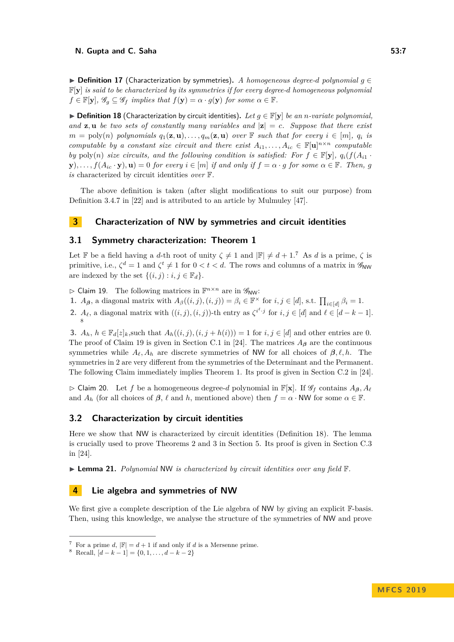[8](#page-6-3)

I **Definition 17** (Characterization by symmetries)**.** *A homogeneous degree-d polynomial g* ∈ F[**y**] *is said to be characterized by its symmetries if for every degree-d homogeneous polynomial*  $f \in \mathbb{F}[\mathbf{y}], \mathscr{G}_q \subseteq \mathscr{G}_f$  *implies that*  $f(\mathbf{y}) = \alpha \cdot g(\mathbf{y})$  *for some*  $\alpha \in \mathbb{F}$ *.* 

<span id="page-6-1"></span> $\triangleright$  **Definition 18** (Characterization by circuit identities). Let  $g \in \mathbb{F}[\mathbf{y}]$  be an *n*-variate polynomial, and **z**, **u** *be two sets of constantly many variables and*  $|z| = c$ *. Suppose that there exist*  $m = \text{poly}(n)$  polynomials  $q_1(\mathbf{z}, \mathbf{u}), \ldots, q_m(\mathbf{z}, \mathbf{u})$  over  $\mathbb F$  such that for every  $i \in [m], q_i$  is *computable by a constant size circuit and there exist*  $A_{i1}, \ldots, A_{ic} \in \mathbb{F}[u]^{n \times n}$  *computable by* poly $(n)$  *size circuits, and the following condition is satisfied: For*  $f \in \mathbb{F}[\mathbf{y}]$ *,*  $q_i(f(A_{i1} \cdot$ **y**),...,  $f(A_{ic} \cdot \mathbf{y})$ ,  $\mathbf{u}) = 0$  *for every*  $i \in [m]$  *if and only if*  $f = \alpha \cdot g$  *for some*  $\alpha \in \mathbb{F}$ *. Then, g is* characterized by circuit identities *over* F*.*

The above definition is taken (after slight modifications to suit our purpose) from Definition 3.4.7 in [\[22\]](#page-13-10) and is attributed to an article by Mulmuley [\[47\]](#page-14-19).

## <span id="page-6-0"></span>**3 Characterization of NW by symmetries and circuit identities**

### **3.1 Symmetry characterization: Theorem [1](#page-2-1)**

Let F be a field having a *d*-th root of unity  $\zeta \neq 1$  and  $|\mathbb{F}| \neq d + 1$ .<sup>[7](#page-6-2)</sup> As *d* is a prime,  $\zeta$  is primitive, i.e.,  $\zeta^d = 1$  and  $\zeta^t \neq 1$  for  $0 < t < d$ . The rows and columns of a matrix in  $\mathscr{G}_{\mathsf{NW}}$ are indexed by the set  $\{(i, j) : i, j \in \mathbb{F}_d\}.$ 

<span id="page-6-4"></span> $\triangleright$  Claim 19. The following matrices in  $\mathbb{F}^{n \times n}$  are in  $\mathscr{G}_{\mathsf{NW}}$ :

**1.** *A<sub>β</sub>*, a diagonal matrix with  $A_{\beta}((i, j), (i, j)) = \beta_i \in \mathbb{F}^\times$  for  $i, j \in [d]$ , s.t.  $\prod_{i \in [d]} \beta_i = 1$ .

<span id="page-6-5"></span>**2.**  $A_{\ell}$ , a diagonal matrix with  $((i, j), (i, j))$ -th entry as  $\zeta^{i^{\ell} \cdot j}$  for  $i, j \in [d]$  and  $\ell \in [d - k - 1]$ .

**3.**  $A_h$ ,  $h \in \mathbb{F}_d[z]_k$ , such that  $A_h((i,j),(i,j+h(i))) = 1$  for  $i, j \in [d]$  and other entries are 0. The proof of Claim [19](#page-6-4) is given in Section C.1 in [\[24\]](#page-13-11). The matrices  $A_\beta$  are the continuous symmetries while  $A_\ell, A_h$  are discrete symmetries of NW for all choices of  $\beta, \ell, h$ . The symmetries in [2](#page-6-5) are very different from the symmetries of the Determinant and the Permanent. The following Claim immediately implies Theorem [1.](#page-2-1) Its proof is given in Section C.2 in [\[24\]](#page-13-11).

 $\triangleright$  Claim 20. Let *f* be a homogeneous degree-*d* polynomial in  $\mathbb{F}[\mathbf{x}]$ . If  $\mathscr{G}_f$  contains  $A_\beta$ ,  $A_\ell$ and  $A_h$  (for all choices of  $\beta$ ,  $\ell$  and  $h$ , mentioned above) then  $f = \alpha \cdot NW$  for some  $\alpha \in \mathbb{F}$ .

### **3.2 Characterization by circuit identities**

Here we show that NW is characterized by circuit identities (Definition [18\)](#page-6-1). The lemma is crucially used to prove Theorems [2](#page-2-2) and [3](#page-3-3) in Section [5.](#page-7-1) Its proof is given in Section C.3 in [\[24\]](#page-13-11).

<span id="page-6-6"></span> $\blacktriangleright$  **Lemma 21.** *Polynomial* NW *is characterized by circuit identities over any field*  $\mathbb{F}$ *.* 

### **4 Lie algebra and symmetries of NW**

We first give a complete description of the Lie algebra of NW by giving an explicit F-basis. Then, using this knowledge, we analyse the structure of the symmetries of NW and prove

<span id="page-6-2"></span><sup>&</sup>lt;sup>7</sup> For a prime *d*,  $|\mathbb{F}| = d + 1$  if and only if *d* is a Mersenne prime.

<span id="page-6-3"></span><sup>8</sup> Recall,  $[d - k - 1] = \{0, 1, \ldots, d - k - 2\}$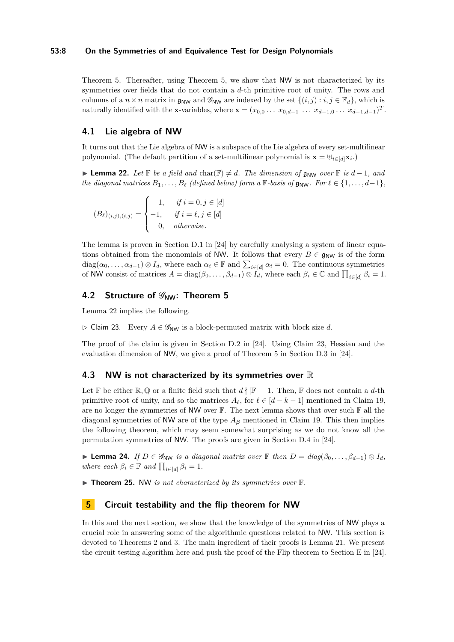### **53:8 On the Symmetries of and Equivalence Test for Design Polynomials**

Theorem [5.](#page-4-3) Thereafter, using Theorem [5,](#page-4-3) we show that NW is not characterized by its symmetries over fields that do not contain a *d*-th primitive root of unity. The rows and columns of a  $n \times n$  matrix in  $g_{NW}$  and  $\mathscr{G}_{NW}$  are indexed by the set  $\{(i, j) : i, j \in \mathbb{F}_d\}$ , which is naturally identified with the **x**-variables, where  $\mathbf{x} = (x_{0,0} \dots x_{0,d-1} \dots x_{d-1,0} \dots x_{d-1,d-1})^T$ .

# **4.1 Lie algebra of NW**

It turns out that the Lie algebra of NW is a subspace of the Lie algebra of every set-multilinear polynomial. (The default partition of a set-multilinear polynomial is  $\mathbf{x} = \biguplus_{i \in [d]} \mathbf{x}_i$ .)

<span id="page-7-3"></span>**► Lemma 22.** Let **F** be a field and char(**F**)  $\neq d$ . The dimension of g<sub>NW</sub> over **F** is  $d-1$ , and *the diagonal matrices*  $B_1, \ldots, B_\ell$  *(defined below) form a*  $\mathbb{F}$ *-basis of*  $\mathfrak{g}_{\text{NW}}$ *. For*  $\ell \in \{1, \ldots, d-1\}$ *,* 

$$
(B_{\ell})_{(i,j),(i,j)} = \begin{cases} 1, & if i = 0, j \in [d] \\ -1, & if i = \ell, j \in [d] \\ 0, & otherwise. \end{cases}
$$

The lemma is proven in Section D.1 in [\[24\]](#page-13-11) by carefully analysing a system of linear equations obtained from the monomials of NW. It follows that every  $B \in \mathfrak{g}_{NW}$  is of the form  $diag(\alpha_0, \ldots, \alpha_{d-1}) \otimes I_d$ , where each  $\alpha_i \in \mathbb{F}$  and  $\sum_{i \in [d]} \alpha_i = 0$ . The continuous symmetries of NW consist of matrices  $A = \text{diag}(\beta_0, \dots, \beta_{d-1}) \otimes I_d$ , where each  $\beta_i \in \mathbb{C}$  and  $\prod_{i \in [d]} \beta_i = 1$ .

# <span id="page-7-2"></span>**4.2 Structure of**  $\mathscr{G}_{\mathsf{NW}}$ **: Theorem [5](#page-4-3)**

<span id="page-7-4"></span>Lemma [22](#page-7-3) implies the following.

 $\triangleright$  Claim 23. Every  $A \in \mathscr{G}_{NW}$  is a block-permuted matrix with block size *d*.

The proof of the claim is given in Section D.2 in [\[24\]](#page-13-11). Using Claim [23,](#page-7-4) Hessian and the evaluation dimension of NW, we give a proof of Theorem [5](#page-4-3) in Section D.3 in [\[24\]](#page-13-11).

# <span id="page-7-0"></span>**4.3 NW is not characterized by its symmetries over** R

Let F be either  $\mathbb{R}, \mathbb{Q}$  or a finite field such that  $d \nmid \mathbb{F}|-1$ . Then, F does not contain a *d*-th primitive root of unity, and so the matrices  $A_\ell$ , for  $\ell \in [d - k - 1]$  mentioned in Claim [19,](#page-6-4) are no longer the symmetries of NW over  $\mathbb{F}$ . The next lemma shows that over such  $\mathbb{F}$  all the diagonal symmetries of NW are of the type  $A_\beta$  mentioned in Claim [19.](#page-6-4) This then implies the following theorem, which may seem somewhat surprising as we do not know all the permutation symmetries of NW. The proofs are given in Section D.4 in [\[24\]](#page-13-11).

**► Lemma 24.** *If*  $D \in \mathscr{G}_{\text{NW}}$  *is a diagonal matrix over*  $\mathbb{F}$  *then*  $D = diag(\beta_0, \ldots, \beta_{d-1}) \otimes I_d$ *, where each*  $\beta_i \in \mathbb{F}$  *and*  $\prod_{i \in [d]} \beta_i = 1$ *.* 

▶ **Theorem 25.** NW *is not characterized by its symmetries over* **F**.

### <span id="page-7-1"></span>**5 Circuit testability and the flip theorem for NW**

In this and the next section, we show that the knowledge of the symmetries of NW plays a crucial role in answering some of the algorithmic questions related to NW. This section is devoted to Theorems [2](#page-2-2) and [3.](#page-3-3) The main ingredient of their proofs is Lemma [21.](#page-6-6) We present the circuit testing algorithm here and push the proof of the Flip theorem to Section E in [\[24\]](#page-13-11).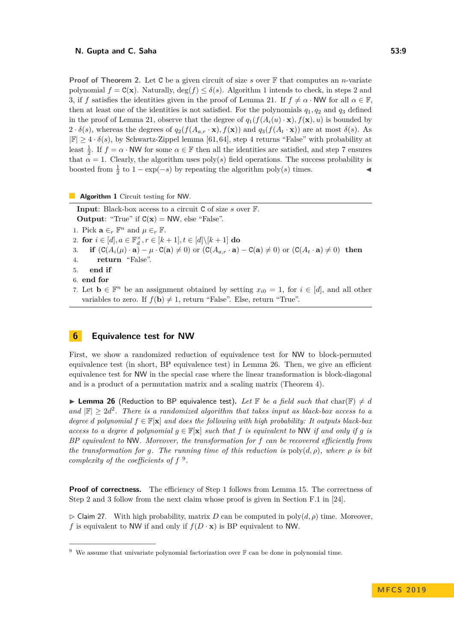**Proof of Theorem [2.](#page-2-2)** Let C be a given circuit of size *s* over F that computes an *n*-variate polynomial  $f = C(\mathbf{x})$ . Naturally,  $\deg(f) \leq \delta(s)$ . Algorithm [1](#page-8-1) intends to check, in steps 2 and 3, if *f* satisfies the identities given in the proof of Lemma [21.](#page-6-6) If  $f \neq \alpha$ . NW for all  $\alpha \in \mathbb{F}$ . then at least one of the identities is not satisfied. For the polynomials  $q_1, q_2$  and  $q_3$  defined in the proof of Lemma [21,](#page-6-6) observe that the degree of  $q_1(f(A_i(u)\cdot\mathbf{x}), f(\mathbf{x}), u)$  is bounded by 2 ·  $\delta(s)$ , whereas the degrees of  $q_2(f(A_{a,r} \cdot \mathbf{x}), f(\mathbf{x}))$  and  $q_3(f(A_t \cdot \mathbf{x}))$  are at most  $\delta(s)$ . As  $|\mathbb{F}| \geq 4 \cdot \delta(s)$ , by Schwartz-Zippel lemma [\[61,](#page-14-20) [64\]](#page-15-3), step 4 returns "False" with probability at least  $\frac{1}{2}$ . If  $f = \alpha \cdot \text{NW}$  for some  $\alpha \in \mathbb{F}$  then all the identities are satisfied, and step 7 ensures that  $\alpha = 1$ . Clearly, the algorithm uses poly(s) field operations. The success probability is boosted from  $\frac{1}{2}$  to  $1 - \exp(-s)$  by repeating the algorithm poly(*s*) times.

<span id="page-8-1"></span>**Algorithm 1** Circuit testing for NW.

**Input**: Black-box access to a circuit C of size *s* over F. **Output:** "True" if  $C(x) = NW$ , else "False". 1. Pick  $\mathbf{a} \in_r \mathbb{F}^n$  and  $\mu \in_r \mathbb{F}$ . 2. **for**  $i \in [d], a \in \mathbb{F}_d^{\times}, r \in [k+1], t \in [d] \setminus [k+1]$  **do** 3. **if**  $(C(A_i(\mu) \cdot \mathbf{a}) - \mu \cdot C(\mathbf{a}) \neq 0)$  or  $(C(A_{a,r} \cdot \mathbf{a}) - C(\mathbf{a}) \neq 0)$  or  $(C(A_t \cdot \mathbf{a}) \neq 0)$  then 4. **return** "False". 5. **end if** 6. **end for** 7. Let  $\mathbf{b} \in \mathbb{F}^n$  be an assignment obtained by setting  $x_{i0} = 1$ , for  $i \in [d]$ , and all other variables to zero. If  $f(\mathbf{b}) \neq 1$ , return "False". Else, return "True".

### <span id="page-8-0"></span>**6 Equivalence test for NW**

First, we show a randomized reduction of equivalence test for NW to block-permuted equivalence test (in short, BP equivalence test) in Lemma [26.](#page-8-2) Then, we give an efficient equivalence test for NW in the special case where the linear transformation is block-diagonal and is a product of a permutation matrix and a scaling matrix (Theorem [4\)](#page-3-0).

<span id="page-8-2"></span>**I Lemma 26** (Reduction to BP equivalence test). Let  $\mathbb{F}$  be a field such that char( $\mathbb{F}$ )  $\neq d$ and  $|\mathbb{F}| \geq 2d^2$ . There is a randomized algorithm that takes input as black-box access to a *degree d* polynomial  $f \in \mathbb{F}[\mathbf{x}]$  and does the following with high probability: It outputs black-box *access to a degree d polynomial*  $g \in \mathbb{F}[\mathbf{x}]$  *such that f is equivalent to* NW *if and only if g is BP equivalent to* NW*. Moreover, the transformation for f can be recovered efficiently from the transformation for g. The running time of this reduction is*  $poly(d, \rho)$ *, where*  $\rho$  *is bit complexity of the coefficients of f* [9](#page-8-3) *.*

**Proof of correctness.** The efficiency of Step 1 follows from Lemma [15.](#page-5-2) The correctness of Step 2 and 3 follow from the next claim whose proof is given in Section F.1 in [\[24\]](#page-13-11).

 $\triangleright$  Claim 27. With high probability, matrix *D* can be computed in poly $(d, \rho)$  time. Moreover, *f* is equivalent to NW if and only if  $f(D \cdot x)$  is BP equivalent to NW.

<span id="page-8-3"></span><sup>&</sup>lt;sup>9</sup> We assume that univariate polynomial factorization over  $\mathbb F$  can be done in polynomial time.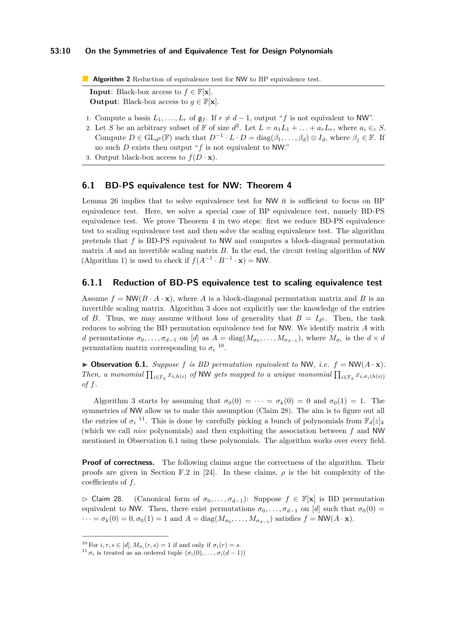### **53:10 On the Symmetries of and Equivalence Test for Design Polynomials**

**Algorithm 2** Reduction of equivalence test for NW to BP equivalence test.

**Input**: Black-box access to  $f \in \mathbb{F}[\mathbf{x}]$ . **Output**: Black-box access to  $g \in \mathbb{F}[\mathbf{x}]$ .

- 1. Compute a basis  $L_1, \ldots, L_r$  of  $\mathfrak{g}_f$ . If  $r \neq d-1$ , output "*f* is not equivalent to NW".
- 2. Let *S* be an arbitrary subset of  $\mathbb{F}$  of size  $d^2$ . Let  $L = a_1 L_1 + \ldots + a_r L_r$ , where  $a_i \in_r S$ . Compute  $D \in GL_{d^2}(\mathbb{F})$  such that  $D^{-1} \cdot L \cdot D = \text{diag}(\beta_1, \ldots, \beta_d) \otimes I_d$ , where  $\beta_j \in \mathbb{F}$ . If no such *D* exists then output "*f* is not equivalent to NW."
- 3. Output black-box access to  $f(D \cdot \mathbf{x})$ .

# **6.1 BD-PS equivalence test for NW: Theorem [4](#page-3-0)**

Lemma [26](#page-8-2) implies that to solve equivalence test for NW it is sufficient to focus on BP equivalence test. Here, we solve a special case of BP equivalence test, namely BD-PS equivalence test. We prove Theorem [4](#page-3-0) in two steps: first we reduce BD-PS equivalence test to scaling equivalence test and then solve the scaling equivalence test. The algorithm pretends that *f* is BD-PS equivalent to NW and computes a block-diagonal permutation matrix *A* and an invertible scaling matrix *B*. In the end, the circuit testing algorithm of NW (Algorithm [1\)](#page-8-1) is used to check if  $f(A^{-1} \cdot B^{-1} \cdot \mathbf{x}) = NW$ .

# **6.1.1 Reduction of BD-PS equivalence test to scaling equivalence test**

Assume  $f = NW(B \cdot A \cdot x)$ , where *A* is a block-diagonal permutation matrix and *B* is an invertible scaling matrix. Algorithm [3](#page-10-0) does not explicitly use the knowledge of the entries of *B*. Thus, we may assume without loss of generality that  $B = I_{d^2}$ . Then, the task reduces to solving the BD permutation equivalence test for NW. We identify matrix *A* with *d* permutations  $\sigma_0, \ldots, \sigma_{d-1}$  on [*d*] as  $A = \text{diag}(M_{\sigma_0}, \ldots, M_{\sigma_{d-1}})$ , where  $M_{\sigma_i}$  is the  $d \times d$ permutation matrix corresponding to  $\sigma_i$ <sup>[10](#page-9-0)</sup>.

<span id="page-9-3"></span> $\triangleright$  **Observation 6.1.** *Suppose f is BD permutation equivalent to NW, i.e.*  $f = NW(A \cdot x)$ *. Then, a monomial*  $\prod_{i\in\mathbb{F}_d} x_{i,h(i)}$  *of* NW *gets mapped to a unique monomial*  $\prod_{i\in\mathbb{F}_d} x_{i,\sigma_i(h(i))}$ *of f.*

Algorithm [3](#page-10-0) starts by assuming that  $\sigma_0(0) = \cdots = \sigma_k(0) = 0$  and  $\sigma_0(1) = 1$ . The symmetries of NW allow us to make this assumption (Claim [28\)](#page-9-1). The aim is to figure out all the entries of  $\sigma_i$ <sup>[11](#page-9-2)</sup>. This is done by carefully picking a bunch of polynomials from  $\mathbb{F}_d[z]_k$ (which we call *nice* polynomials) and then exploiting the association between *f* and NW mentioned in Observation [6.1](#page-9-3) using these polynomials. The algorithm works over every field.

**Proof of correctness.** The following claims argue the correctness of the algorithm. Their proofs are given in Section F.2 in [\[24\]](#page-13-11). In these claims,  $\rho$  is the bit complexity of the coefficients of *f*.

<span id="page-9-1"></span> $\triangleright$  Claim 28. (Canonical form of *σ*<sub>0</sub>, . . . , *σ*<sub>*d*−1</sub>): Suppose *f* ∈ **F**[**x**] is BD permutation equivalent to NW. Then, there exist permutations  $\sigma_0, \ldots, \sigma_{d-1}$  on [*d*] such that  $\sigma_0(0)$  =  $\cdots = \sigma_k(0) = 0, \sigma_0(1) = 1$  and  $A = \text{diag}(M_{\sigma_0}, \ldots, M_{\sigma_{d-1}})$  satisfies  $f = \text{NW}(A \cdot \mathbf{x})$ .

<span id="page-9-4"></span><span id="page-9-0"></span><sup>&</sup>lt;sup>10</sup> For *i*,  $r, s \in [d]$ ,  $M_{\sigma_i}(r, s) = 1$  if and only if  $\sigma_i(r) = s$ .

<span id="page-9-2"></span><sup>&</sup>lt;sup>11</sup>  $\sigma_i$  is treated as an ordered tuple  $(\sigma_i(0), \ldots, \sigma_i(d-1))$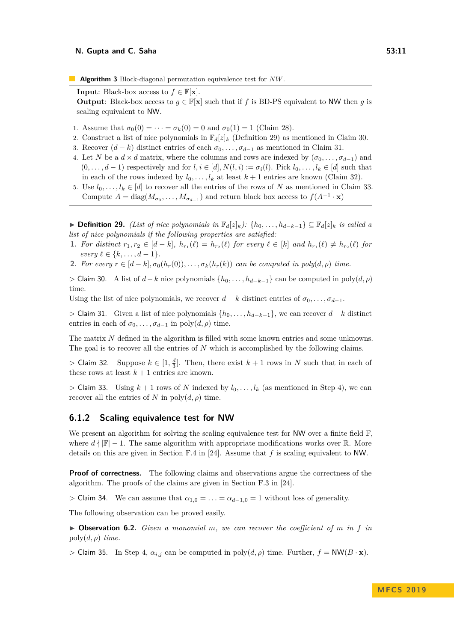<span id="page-10-0"></span>**Algorithm 3** Block-diagonal permutation equivalence test for *NW*.

**Input**: Black-box access to  $f \in \mathbb{F}[\mathbf{x}]$ .

**Output:** Black-box access to  $g \in \mathbb{F}[\mathbf{x}]$  such that if *f* is BD-PS equivalent to NW then *g* is scaling equivalent to NW.

- <span id="page-10-5"></span>1. Assume that  $\sigma_0(0) = \cdots = \sigma_k(0) = 0$  and  $\sigma_0(1) = 1$  (Claim [28\)](#page-9-1).
- 2. Construct a list of nice polynomials in  $\mathbb{F}_d[z]_k$  (Definition [29\)](#page-9-4) as mentioned in Claim [30.](#page-10-1)
- 3. Recover  $(d k)$  distinct entries of each  $\sigma_0, \ldots, \sigma_{d-1}$  as mentioned in Claim [31.](#page-10-2)
- 4. Let *N* be a  $d \times d$  matrix, where the columns and rows are indexed by  $(\sigma_0, \ldots, \sigma_{d-1})$  and  $(0, \ldots, d-1)$  respectively and for  $l, i \in [d], N(l, i) := \sigma_i(l).$  Pick  $l_0, \ldots, l_k \in [d]$  such that in each of the rows indexed by  $l_0, \ldots, l_k$  at least  $k+1$  entries are known (Claim [32\)](#page-10-3).
- 5. Use  $l_0, \ldots, l_k \in [d]$  to recover all the entries of the rows of *N* as mentioned in Claim [33.](#page-10-4) Compute  $A = \text{diag}(M_{\sigma_0}, \ldots, M_{\sigma_{d-1}})$  and return black box access to  $f(A^{-1} \cdot \mathbf{x})$

**► Definition 29.** *(List of nice polynomials in*  $\mathbb{F}_d[z]_k$ *):*  $\{h_0, \ldots, h_{d-k-1}\} \subseteq \mathbb{F}_d[z]_k$  *is called a list of nice polynomials if the following properties are satisfied:*

- 1. For distinct  $r_1, r_2 \in [d-k]$ ,  $h_{r_1}(\ell) = h_{r_2}(\ell)$  for every  $\ell \in [k]$  and  $h_{r_1}(\ell) \neq h_{r_2}(\ell)$  for *every*  $l \in \{k, ..., d - 1\}$ *.*
- **2.** *For every*  $r \in [d-k], \sigma_0(h_r(0)), \ldots, \sigma_k(h_r(k))$  *can be computed in poly* $(d, \rho)$  *time.*

<span id="page-10-1"></span>B Claim 30. A list of *d*−*k* nice polynomials {*h*0*, . . . , hd*−*k*−1} can be computed in poly(*d, ρ*) time.

<span id="page-10-2"></span>Using the list of nice polynomials, we recover  $d - k$  distinct entries of  $\sigma_0, \ldots, \sigma_{d-1}$ .

 $\triangleright$  Claim 31. Given a list of nice polynomials  $\{h_0, \ldots, h_{d-k-1}\}\)$ , we can recover  $d-k$  distinct entries in each of  $\sigma_0, \ldots, \sigma_{d-1}$  in poly $(d, \rho)$  time.

The matrix *N* defined in the algorithm is filled with some known entries and some unknowns. The goal is to recover all the entries of *N* which is accomplished by the following claims.

<span id="page-10-3"></span> $\triangleright$  Claim 32. Suppose  $k \in [1, \frac{d}{3}]$ . Then, there exist  $k+1$  rows in *N* such that in each of these rows at least  $k+1$  entries are known.

<span id="page-10-4"></span> $\triangleright$  Claim 33. Using  $k + 1$  rows of *N* indexed by  $l_0, \ldots, l_k$  (as mentioned in Step [4\)](#page-10-5), we can recover all the entries of *N* in  $\text{poly}(d, \rho)$  time.

### **6.1.2 Scaling equivalence test for NW**

We present an algorithm for solving the scaling equivalence test for NW over a finite field  $\mathbb{F}$ , where  $d \nmid \mathbb{F}|-1$ . The same algorithm with appropriate modifications works over R. More details on this are given in Section F.4 in [\[24\]](#page-13-11). Assume that *f* is scaling equivalent to NW.

**Proof of correctness.** The following claims and observations argue the correctness of the algorithm. The proofs of the claims are given in Section F.3 in [\[24\]](#page-13-11).

<span id="page-10-6"></span> $\triangleright$  Claim 34. We can assume that  $\alpha_{1,0} = \ldots = \alpha_{d-1,0} = 1$  without loss of generality.

<span id="page-10-7"></span>The following observation can be proved easily.

 $\triangleright$  **Observation 6.2.** *Given a monomial m, we can recover the coefficient of m in f in*  $poly(d, \rho)$  *time.* 

<span id="page-10-8"></span> $\triangleright$  Claim 35. In Step [4,](#page-11-4)  $\alpha_{i,j}$  can be computed in  $\text{poly}(d, \rho)$  time. Further,  $f = \text{NW}(B \cdot \mathbf{x})$ .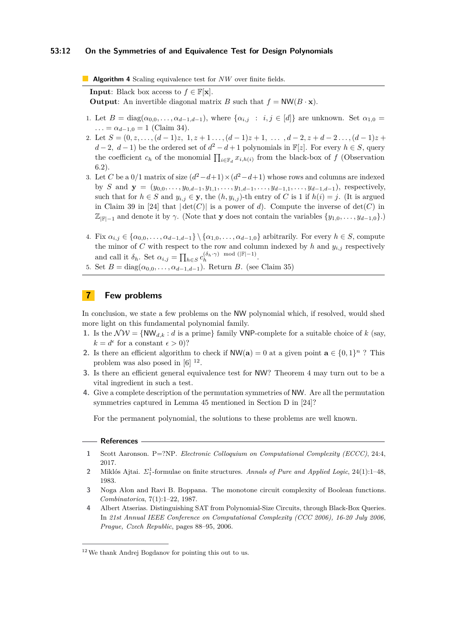### **53:12 On the Symmetries of and Equivalence Test for Design Polynomials**

**Algorithm 4** Scaling equivalence test for *NW* over finite fields.

**Input**: Black box access to  $f \in \mathbb{F}[\mathbf{x}]$ .

**Output:** An invertible diagonal matrix *B* such that  $f = NW(B \cdot x)$ .

- 1. Let  $B = \text{diag}(\alpha_{0,0}, \ldots, \alpha_{d-1,d-1})$ , where  $\{\alpha_{i,j} : i, j \in [d]\}$  are unknown. Set  $\alpha_{1,0} =$  $\ldots = \alpha_{d-1,0} = 1$  (Claim [34\)](#page-10-6).
- 2. Let *S* = (0*, z, . . . ,*(*d* − 1)*z,* 1*, z* + 1 *. . . ,*(*d* − 1)*z* + 1*, . . . , d* − 2*, z* + *d* − 2 *. . . ,*(*d* − 1)*z* + *d* − 2, *d* − 1) be the ordered set of  $d^2 - d + 1$  polynomials in  $\mathbb{F}[z]$ . For every  $h \in S$ , query the coefficient  $c_h$  of the monomial  $\prod_{i \in \mathbb{F}_d} x_{i,h(i)}$  from the black-box of *f* (Observation [6.2\)](#page-10-7).
- 3. Let *C* be a  $0/1$  matrix of size  $(d^2 d + 1) \times (d^2 d + 1)$  whose rows and columns are indexed by *S* and  $\mathbf{y} = (y_{0,0}, \ldots, y_{0,d-1}, y_{1,1}, \ldots, y_{1,d-1}, \ldots, y_{d-1,1}, \ldots, y_{d-1,d-1})$ , respectively, such that for  $h \in S$  and  $y_{i,j} \in \mathbf{y}$ , the  $(h, y_{i,j})$ -th entry of *C* is 1 if  $h(i) = j$ . (It is argued in Claim 39 in [\[24\]](#page-13-11) that  $|\det(C)|$  is a power of *d*). Compute the inverse of  $\det(C)$  in  $\mathbb{Z}_{|\mathbb{F}|-1}$  and denote it by  $\gamma$ . (Note that **y** does not contain the variables  $\{y_{1,0}, \ldots, y_{d-1,0}\}$ .)
- <span id="page-11-4"></span>4. Fix  $\alpha_{i,j} \in \{\alpha_{0,0}, \ldots, \alpha_{d-1,d-1}\} \setminus \{\alpha_{1,0}, \ldots, \alpha_{d-1,0}\}$  arbitrarily. For every  $h \in S$ , compute the minor of C with respect to the row and column indexed by h and  $y_{i,j}$  respectively and call it  $\delta_h$ . Set  $\alpha_{i,j} = \prod_{h \in S} c_h^{(\delta_h \cdot \gamma)}$  mod (|F|−1).
- 5. Set  $B = \text{diag}(\alpha_{0,0}, \ldots, \alpha_{d-1,d-1})$ . Return *B*. (see Claim [35\)](#page-10-8)

# **7 Few problems**

In conclusion, we state a few problems on the NW polynomial which, if resolved, would shed more light on this fundamental polynomial family.

- **1.** Is the  $\mathcal{NW} = \{NW_{d,k} : d \text{ is a prime} \}$  family VNP-complete for a suitable choice of k (say,  $k = d^{\epsilon}$  for a constant  $\epsilon > 0$ ?
- **2.** Is there an efficient algorithm to check if  $NW(a) = 0$  at a given point  $a \in \{0, 1\}^n$  ? This problem was also posed in  $[6]$ <sup>[12](#page-11-5)</sup>.
- **3.** Is there an efficient general equivalence test for NW? Theorem [4](#page-3-0) may turn out to be a vital ingredient in such a test.
- **4.** Give a complete description of the permutation symmetries of NW. Are all the permutation symmetries captured in Lemma 45 mentioned in Section D in [\[24\]](#page-13-11)?

For the permanent polynomial, the solutions to these problems are well known.

#### **References**

- <span id="page-11-2"></span>**1** Scott Aaronson. P=?NP. *Electronic Colloquium on Computational Complexity (ECCC)*, 24:4, 2017.
- <span id="page-11-0"></span>**2** Miklós Ajtai. *Σ*<sup>1</sup><sub>1</sub>-formulae on finite structures. *Annals of Pure and Applied Logic*, 24(1):1–48, 1983.
- <span id="page-11-1"></span>**3** Noga Alon and Ravi B. Boppana. The monotone circuit complexity of Boolean functions. *Combinatorica*, 7(1):1–22, 1987.
- <span id="page-11-3"></span>**4** Albert Atserias. Distinguishing SAT from Polynomial-Size Circuits, through Black-Box Queries. In *21st Annual IEEE Conference on Computational Complexity (CCC 2006), 16-20 July 2006, Prague, Czech Republic*, pages 88–95, 2006.

<span id="page-11-5"></span> $12$  We thank Andrej Bogdanov for pointing this out to us.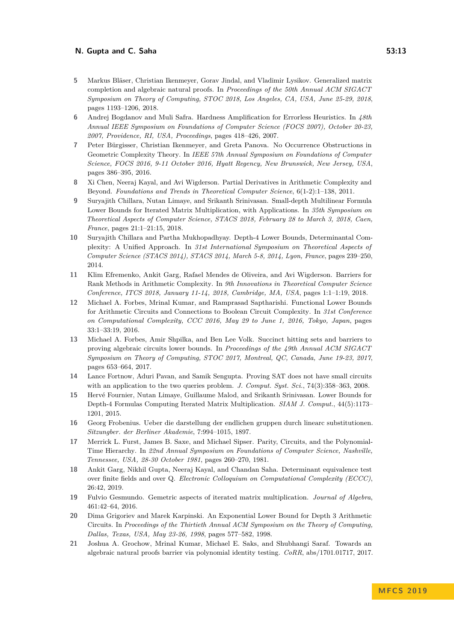- <span id="page-12-12"></span>**5** Markus Bläser, Christian Ikenmeyer, Gorav Jindal, and Vladimir Lysikov. Generalized matrix completion and algebraic natural proofs. In *Proceedings of the 50th Annual ACM SIGACT Symposium on Theory of Computing, STOC 2018, Los Angeles, CA, USA, June 25-29, 2018*, pages 1193–1206, 2018.
- <span id="page-12-16"></span>**6** Andrej Bogdanov and Muli Safra. Hardness Amplification for Errorless Heuristics. In *48th Annual IEEE Symposium on Foundations of Computer Science (FOCS 2007), October 20-23, 2007, Providence, RI, USA, Proceedings*, pages 418–426, 2007.
- <span id="page-12-13"></span>**7** Peter Bürgisser, Christian Ikenmeyer, and Greta Panova. No Occurrence Obstructions in Geometric Complexity Theory. In *IEEE 57th Annual Symposium on Foundations of Computer Science, FOCS 2016, 9-11 October 2016, Hyatt Regency, New Brunswick, New Jersey, USA*, pages 386–395, 2016.
- <span id="page-12-8"></span>**8** Xi Chen, Neeraj Kayal, and Avi Wigderson. Partial Derivatives in Arithmetic Complexity and Beyond. *Foundations and Trends in Theoretical Computer Science*, 6(1-2):1–138, 2011.
- <span id="page-12-3"></span>**9** Suryajith Chillara, Nutan Limaye, and Srikanth Srinivasan. Small-depth Multilinear Formula Lower Bounds for Iterated Matrix Multiplication, with Applications. In *35th Symposium on Theoretical Aspects of Computer Science, STACS 2018, February 28 to March 3, 2018, Caen, France*, pages 21:1–21:15, 2018.
- <span id="page-12-9"></span>**10** Suryajith Chillara and Partha Mukhopadhyay. Depth-4 Lower Bounds, Determinantal Complexity: A Unified Approach. In *31st International Symposium on Theoretical Aspects of Computer Science (STACS 2014), STACS 2014, March 5-8, 2014, Lyon, France*, pages 239–250, 2014.
- <span id="page-12-11"></span>**11** Klim Efremenko, Ankit Garg, Rafael Mendes de Oliveira, and Avi Wigderson. Barriers for Rank Methods in Arithmetic Complexity. In *9th Innovations in Theoretical Computer Science Conference, ITCS 2018, January 11-14, 2018, Cambridge, MA, USA*, pages 1:1–1:19, 2018.
- <span id="page-12-10"></span>**12** Michael A. Forbes, Mrinal Kumar, and Ramprasad Saptharishi. Functional Lower Bounds for Arithmetic Circuits and Connections to Boolean Circuit Complexity. In *31st Conference on Computational Complexity, CCC 2016, May 29 to June 1, 2016, Tokyo, Japan*, pages 33:1–33:19, 2016.
- <span id="page-12-1"></span>**13** Michael A. Forbes, Amir Shpilka, and Ben Lee Volk. Succinct hitting sets and barriers to proving algebraic circuits lower bounds. In *Proceedings of the 49th Annual ACM SIGACT Symposium on Theory of Computing, STOC 2017, Montreal, QC, Canada, June 19-23, 2017*, pages 653–664, 2017.
- <span id="page-12-14"></span>**14** Lance Fortnow, Aduri Pavan, and Samik Sengupta. Proving SAT does not have small circuits with an application to the two queries problem. *J. Comput. Syst. Sci.*, 74(3):358–363, 2008.
- <span id="page-12-4"></span>**15** Hervé Fournier, Nutan Limaye, Guillaume Malod, and Srikanth Srinivasan. Lower Bounds for Depth-4 Formulas Computing Iterated Matrix Multiplication. *SIAM J. Comput.*, 44(5):1173– 1201, 2015.
- <span id="page-12-6"></span>**16** Georg Frobenius. Ueber die darstellung der endlichen gruppen durch linearc substitutionen. *Sitzungber. der Berliner Akademie*, 7:994–1015, 1897.
- <span id="page-12-0"></span>**17** Merrick L. Furst, James B. Saxe, and Michael Sipser. Parity, Circuits, and the Polynomial-Time Hierarchy. In *22nd Annual Symposium on Foundations of Computer Science, Nashville, Tennessee, USA, 28-30 October 1981*, pages 260–270, 1981.
- <span id="page-12-15"></span>**18** Ankit Garg, Nikhil Gupta, Neeraj Kayal, and Chandan Saha. Determinant equivalence test over finite fields and over Q. *Electronic Colloquium on Computational Complexity (ECCC)*, 26:42, 2019.
- <span id="page-12-7"></span>**19** Fulvio Gesmundo. Gemetric aspects of iterated matrix multiplication. *Journal of Algebra*, 461:42–64, 2016.
- <span id="page-12-5"></span>**20** Dima Grigoriev and Marek Karpinski. An Exponential Lower Bound for Depth 3 Arithmetic Circuits. In *Proceedings of the Thirtieth Annual ACM Symposium on the Theory of Computing, Dallas, Texas, USA, May 23-26, 1998*, pages 577–582, 1998.
- <span id="page-12-2"></span>**21** Joshua A. Grochow, Mrinal Kumar, Michael E. Saks, and Shubhangi Saraf. Towards an algebraic natural proofs barrier via polynomial identity testing. *CoRR*, abs/1701.01717, 2017.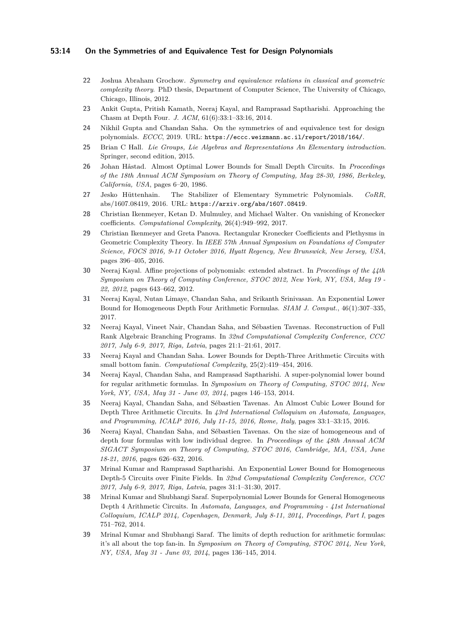### **53:14 On the Symmetries of and Equivalence Test for Design Polynomials**

- <span id="page-13-10"></span>**22** Joshua Abraham Grochow. *Symmetry and equivalence relations in classical and geometric complexity theory*. PhD thesis, Department of Computer Science, The University of Chicago, Chicago, Illinois, 2012.
- <span id="page-13-2"></span>**23** Ankit Gupta, Pritish Kamath, Neeraj Kayal, and Ramprasad Saptharishi. Approaching the Chasm at Depth Four. *J. ACM*, 61(6):33:1–33:16, 2014.
- <span id="page-13-11"></span>**24** Nikhil Gupta and Chandan Saha. On the symmetries of and equivalence test for design polynomials. *ECCC*, 2019. URL: <https://eccc.weizmann.ac.il/report/2018/164/>.
- <span id="page-13-15"></span>**25** Brian C Hall. *Lie Groups, Lie Algebras and Representations An Elementary introduction*. Springer, second edition, 2015.
- <span id="page-13-1"></span>**26** Johan Håstad. Almost Optimal Lower Bounds for Small Depth Circuits. In *Proceedings of the 18th Annual ACM Symposium on Theory of Computing, May 28-30, 1986, Berkeley, California, USA*, pages 6–20, 1986.
- <span id="page-13-6"></span>**27** Jesko Hüttenhain. The Stabilizer of Elementary Symmetric Polynomials. *CoRR*, abs/1607.08419, 2016. URL: <https://arxiv.org/abs/1607.08419>.
- <span id="page-13-12"></span>**28** Christian Ikenmeyer, Ketan D. Mulmuley, and Michael Walter. On vanishing of Kronecker coefficients. *Computational Complexity*, 26(4):949–992, 2017.
- <span id="page-13-13"></span>**29** Christian Ikenmeyer and Greta Panova. Rectangular Kronecker Coefficients and Plethysms in Geometric Complexity Theory. In *IEEE 57th Annual Symposium on Foundations of Computer Science, FOCS 2016, 9-11 October 2016, Hyatt Regency, New Brunswick, New Jersey, USA*, pages 396–405, 2016.
- <span id="page-13-14"></span>**30** Neeraj Kayal. Affine projections of polynomials: extended abstract. In *Proceedings of the 44th Symposium on Theory of Computing Conference, STOC 2012, New York, NY, USA, May 19 - 22, 2012*, pages 643–662, 2012.
- <span id="page-13-3"></span>**31** Neeraj Kayal, Nutan Limaye, Chandan Saha, and Srikanth Srinivasan. An Exponential Lower Bound for Homogeneous Depth Four Arithmetic Formulas. *SIAM J. Comput.*, 46(1):307–335, 2017.
- <span id="page-13-5"></span>**32** Neeraj Kayal, Vineet Nair, Chandan Saha, and Sébastien Tavenas. Reconstruction of Full Rank Algebraic Branching Programs. In *32nd Computational Complexity Conference, CCC 2017, July 6-9, 2017, Riga, Latvia*, pages 21:1–21:61, 2017.
- <span id="page-13-7"></span>**33** Neeraj Kayal and Chandan Saha. Lower Bounds for Depth-Three Arithmetic Circuits with small bottom fanin. *Computational Complexity*, 25(2):419–454, 2016.
- <span id="page-13-0"></span>**34** Neeraj Kayal, Chandan Saha, and Ramprasad Saptharishi. A super-polynomial lower bound for regular arithmetic formulas. In *Symposium on Theory of Computing, STOC 2014, New York, NY, USA, May 31 - June 03, 2014*, pages 146–153, 2014.
- <span id="page-13-8"></span>**35** Neeraj Kayal, Chandan Saha, and Sébastien Tavenas. An Almost Cubic Lower Bound for Depth Three Arithmetic Circuits. In *43rd International Colloquium on Automata, Languages, and Programming, ICALP 2016, July 11-15, 2016, Rome, Italy*, pages 33:1–33:15, 2016.
- <span id="page-13-4"></span>**36** Neeraj Kayal, Chandan Saha, and Sébastien Tavenas. On the size of homogeneous and of depth four formulas with low individual degree. In *Proceedings of the 48th Annual ACM SIGACT Symposium on Theory of Computing, STOC 2016, Cambridge, MA, USA, June 18-21, 2016*, pages 626–632, 2016.
- <span id="page-13-9"></span>**37** Mrinal Kumar and Ramprasad Saptharishi. An Exponential Lower Bound for Homogeneous Depth-5 Circuits over Finite Fields. In *32nd Computational Complexity Conference, CCC 2017, July 6-9, 2017, Riga, Latvia*, pages 31:1–31:30, 2017.
- **38** Mrinal Kumar and Shubhangi Saraf. Superpolynomial Lower Bounds for General Homogeneous Depth 4 Arithmetic Circuits. In *Automata, Languages, and Programming - 41st International Colloquium, ICALP 2014, Copenhagen, Denmark, July 8-11, 2014, Proceedings, Part I*, pages 751–762, 2014.
- **39** Mrinal Kumar and Shubhangi Saraf. The limits of depth reduction for arithmetic formulas: it's all about the top fan-in. In *Symposium on Theory of Computing, STOC 2014, New York, NY, USA, May 31 - June 03, 2014*, pages 136–145, 2014.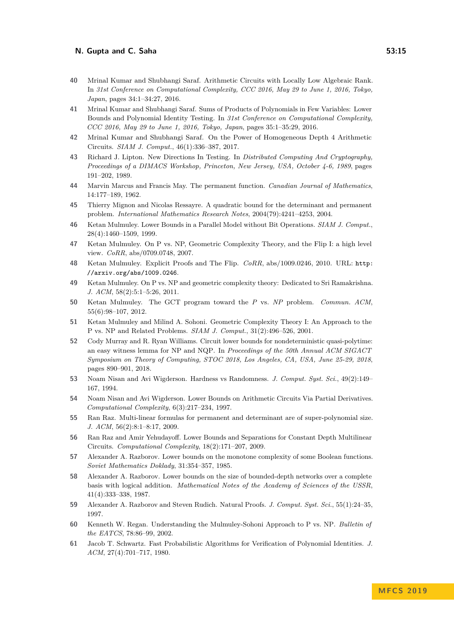- <span id="page-14-12"></span>**40** Mrinal Kumar and Shubhangi Saraf. Arithmetic Circuits with Locally Low Algebraic Rank. In *31st Conference on Computational Complexity, CCC 2016, May 29 to June 1, 2016, Tokyo, Japan*, pages 34:1–34:27, 2016.
- **41** Mrinal Kumar and Shubhangi Saraf. Sums of Products of Polynomials in Few Variables: Lower Bounds and Polynomial Identity Testing. In *31st Conference on Computational Complexity, CCC 2016, May 29 to June 1, 2016, Tokyo, Japan*, pages 35:1–35:29, 2016.
- <span id="page-14-6"></span>**42** Mrinal Kumar and Shubhangi Saraf. On the Power of Homogeneous Depth 4 Arithmetic Circuits. *SIAM J. Comput.*, 46(1):336–387, 2017.
- <span id="page-14-15"></span>**43** Richard J. Lipton. New Directions In Testing. In *Distributed Computing And Cryptography, Proceedings of a DIMACS Workshop, Princeton, New Jersey, USA, October 4-6, 1989*, pages 191–202, 1989.
- <span id="page-14-11"></span>**44** Marvin Marcus and Francis May. The permanent function. *Canadian Journal of Mathematics*, 14:177–189, 1962.
- <span id="page-14-10"></span>**45** Thierry Mignon and Nicolas Ressayre. A quadratic bound for the determinant and permanent problem. *International Mathematics Research Notes*, 2004(79):4241–4253, 2004.
- <span id="page-14-7"></span>**46** Ketan Mulmuley. Lower Bounds in a Parallel Model without Bit Operations. *SIAM J. Comput.*, 28(4):1460–1509, 1999.
- <span id="page-14-19"></span>**47** Ketan Mulmuley. On P vs. NP, Geometric Complexity Theory, and the Flip I: a high level view. *CoRR*, abs/0709.0748, 2007.
- <span id="page-14-16"></span>**48** Ketan Mulmuley. Explicit Proofs and The Flip. *CoRR*, abs/1009.0246, 2010. URL: [http:](http://arxiv.org/abs/1009.0246) [//arxiv.org/abs/1009.0246](http://arxiv.org/abs/1009.0246).
- <span id="page-14-17"></span>**49** Ketan Mulmuley. On P vs. NP and geometric complexity theory: Dedicated to Sri Ramakrishna. *J. ACM*, 58(2):5:1–5:26, 2011.
- <span id="page-14-13"></span>**50** Ketan Mulmuley. The GCT program toward the *P* vs. *NP* problem. *Commun. ACM*, 55(6):98–107, 2012.
- <span id="page-14-9"></span>**51** Ketan Mulmuley and Milind A. Sohoni. Geometric Complexity Theory I: An Approach to the P vs. NP and Related Problems. *SIAM J. Comput.*, 31(2):496–526, 2001.
- <span id="page-14-2"></span>**52** Cody Murray and R. Ryan Williams. Circuit lower bounds for nondeterministic quasi-polytime: an easy witness lemma for NP and NQP. In *Proceedings of the 50th Annual ACM SIGACT Symposium on Theory of Computing, STOC 2018, Los Angeles, CA, USA, June 25-29, 2018*, pages 890–901, 2018.
- <span id="page-14-18"></span>**53** Noam Nisan and Avi Wigderson. Hardness vs Randomness. *J. Comput. Syst. Sci.*, 49(2):149– 167, 1994.
- <span id="page-14-3"></span>**54** Noam Nisan and Avi Wigderson. Lower Bounds on Arithmetic Circuits Via Partial Derivatives. *Computational Complexity*, 6(3):217–234, 1997.
- <span id="page-14-4"></span>**55** Ran Raz. Multi-linear formulas for permanent and determinant are of super-polynomial size. *J. ACM*, 56(2):8:1–8:17, 2009.
- <span id="page-14-5"></span>**56** Ran Raz and Amir Yehudayoff. Lower Bounds and Separations for Constant Depth Multilinear Circuits. *Computational Complexity*, 18(2):171–207, 2009.
- <span id="page-14-0"></span>**57** Alexander A. Razborov. Lower bounds on the monotone complexity of some Boolean functions. *Soviet Mathematics Doklady*, 31:354–357, 1985.
- <span id="page-14-1"></span>**58** Alexander A. Razborov. Lower bounds on the size of bounded-depth networks over a complete basis with logical addition. *Mathematical Notes of the Academy of Sciences of the USSR*, 41(4):333–338, 1987.
- <span id="page-14-8"></span>**59** Alexander A. Razborov and Steven Rudich. Natural Proofs. *J. Comput. Syst. Sci.*, 55(1):24–35, 1997.
- <span id="page-14-14"></span>**60** Kenneth W. Regan. Understanding the Mulmuley-Sohoni Approach to P vs. NP. *Bulletin of the EATCS*, 78:86–99, 2002.
- <span id="page-14-20"></span>**61** Jacob T. Schwartz. Fast Probabilistic Algorithms for Verification of Polynomial Identities. *J. ACM*, 27(4):701–717, 1980.